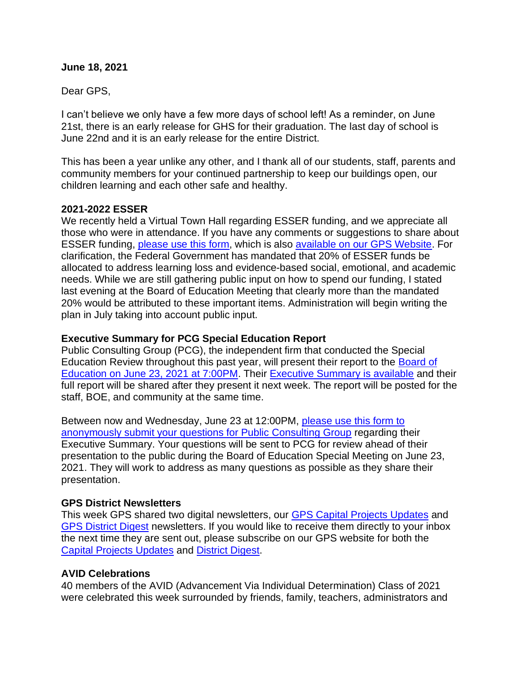### **June 18, 2021**

Dear GPS,

I can't believe we only have a few more days of school left! As a reminder, on June 21st, there is an early release for GHS for their graduation. The last day of school is June 22nd and it is an early release for the entire District.

This has been a year unlike any other, and I thank all of our students, staff, parents and community members for your continued partnership to keep our buildings open, our children learning and each other safe and healthy.

### **2021-2022 ESSER**

We recently held a Virtual Town Hall regarding ESSER funding, and we appreciate all those who were in attendance. If you have any comments or suggestions to share about ESSER funding, [please use this form,](https://www.surveymonkey.com/r/ESSER3input) which is also [available on our GPS Website.](https://www.greenwichschools.org/district-information/return-to-school-planning-esser) For clarification, the Federal Government has mandated that 20% of ESSER funds be allocated to address learning loss and evidence-based social, emotional, and academic needs. While we are still gathering public input on how to spend our funding, I stated last evening at the Board of Education Meeting that clearly more than the mandated 20% would be attributed to these important items. Administration will begin writing the plan in July taking into account public input.

# **Executive Summary for PCG Special Education Report**

Public Consulting Group (PCG), the independent firm that conducted the Special Education Review throughout this past year, will present their report to the [Board of](https://www.greenwichschools.org/board-of-education/accessing-virtual-boe-meetings)  [Education on June 23, 2021 at 7:00PM.](https://www.greenwichschools.org/board-of-education/accessing-virtual-boe-meetings) Their [Executive Summary is available](https://go.boarddocs.com/ct/greenwich/Board.nsf/files/C44QQC6A4D38/$file/06232021%20PCG%20w%20CS.pdf) and their full report will be shared after they present it next week. The report will be posted for the staff, BOE, and community at the same time.

Between now and Wednesday, June 23 at 12:00PM, [please use this form to](https://docs.google.com/forms/d/e/1FAIpQLSdw8E7Qr3goIbrIBSb6LpGv2GEZxLztC26421M-SKamsdL29A/viewform?usp=sf_link)  [anonymously submit your questions for Public Consulting Group](https://docs.google.com/forms/d/e/1FAIpQLSdw8E7Qr3goIbrIBSb6LpGv2GEZxLztC26421M-SKamsdL29A/viewform?usp=sf_link) regarding their Executive Summary. Your questions will be sent to PCG for review ahead of their presentation to the public during the Board of Education Special Meeting on June 23, 2021. They will work to address as many questions as possible as they share their presentation.

# **GPS District Newsletters**

This week GPS shared two digital newsletters, our [GPS Capital Projects Updates](https://www.smore.com/9c6sy) and [GPS District Digest](https://www.smore.com/28j9h) newsletters. If you would like to receive them directly to your inbox the next time they are sent out, please subscribe on our GPS website for both the [Capital Projects Updates](https://www.greenwichschools.org/departments/facilities-rentals/building-grounds-projects/gps-capital-projects-newsletter) and [District Digest.](https://www.greenwichschools.org/departments/communications/district-digest-newsletter)

# **AVID Celebrations**

40 members of the AVID (Advancement Via Individual Determination) Class of 2021 were celebrated this week surrounded by friends, family, teachers, administrators and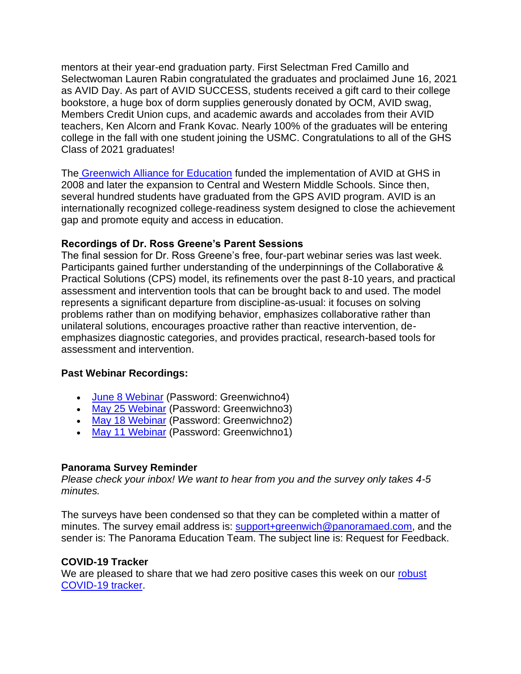mentors at their year-end graduation party. First Selectman Fred Camillo and Selectwoman Lauren Rabin congratulated the graduates and proclaimed June 16, 2021 as AVID Day. As part of AVID SUCCESS, students received a gift card to their college bookstore, a huge box of dorm supplies generously donated by OCM, AVID swag, Members Credit Union cups, and academic awards and accolades from their AVID teachers, Ken Alcorn and Frank Kovac. Nearly 100% of the graduates will be entering college in the fall with one student joining the USMC. Congratulations to all of the GHS Class of 2021 graduates!

The [Greenwich Alliance for Education](https://greenwichalliance.org/avid-programs/) funded the implementation of AVID at GHS in 2008 and later the expansion to Central and Western Middle Schools. Since then, several hundred students have graduated from the GPS AVID program. AVID is an internationally recognized college-readiness system designed to close the achievement gap and promote equity and access in education.

# **Recordings of Dr. Ross Greene's Parent Sessions**

The final session for Dr. Ross Greene's free, four-part webinar series was last week. Participants gained further understanding of the underpinnings of the Collaborative & Practical Solutions (CPS) model, its refinements over the past 8-10 years, and practical assessment and intervention tools that can be brought back to and used. The model represents a significant departure from discipline-as-usual: it focuses on solving problems rather than on modifying behavior, emphasizes collaborative rather than unilateral solutions, encourages proactive rather than reactive intervention, deemphasizes diagnostic categories, and provides practical, research-based tools for assessment and intervention.

### **Past Webinar Recordings:**

- [June 8 Webinar](https://vimeo.com/562759131) (Password: Greenwichno4)
- [May 25 Webinar](https://vimeo.com/557649268) (Password: Greenwichno3)
- [May 18 Webinar](https://vimeo.com/552452116) (Password: Greenwichno2)
- [May 11 Webinar](https://vimeo.com/551557364) (Password: Greenwichno1)

# **Panorama Survey Reminder**

*Please check your inbox! We want to hear from you and the survey only takes 4-5 minutes.*

The surveys have been condensed so that they can be completed within a matter of minutes. The survey email address is: [support+greenwich@panoramaed.com,](mailto:support+greenwich@panoramaed.com) and the sender is: The Panorama Education Team. The subject line is: Request for Feedback.

# **COVID-19 Tracker**

We are pleased to share that we had zero positive cases this week on our robust [COVID-19 tracker.](https://www.greenwichschools.org/teaching-learning/student-support-services/health-services/covid-19)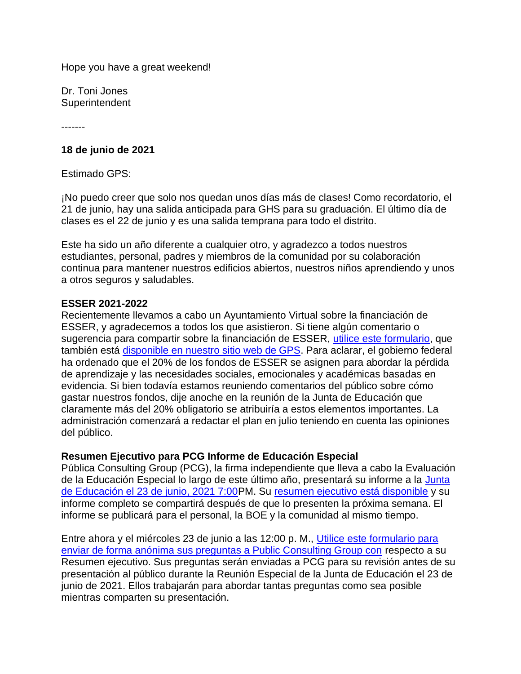Hope you have a great weekend!

Dr. Toni Jones **Superintendent** 

-------

## **18 de junio de 2021**

Estimado GPS:

¡No puedo creer que solo nos quedan unos días más de clases! Como recordatorio, el 21 de junio, hay una salida anticipada para GHS para su graduación. El último día de clases es el 22 de junio y es una salida temprana para todo el distrito.

Este ha sido un año diferente a cualquier otro, y agradezco a todos nuestros estudiantes, personal, padres y miembros de la comunidad por su colaboración continua para mantener nuestros edificios abiertos, nuestros niños aprendiendo y unos a otros seguros y saludables.

## **ESSER 2021-2022**

Recientemente llevamos a cabo un Ayuntamiento Virtual sobre la financiación de ESSER, y agradecemos a todos los que asistieron. Si tiene algún comentario o sugerencia para compartir sobre la financiación de ESSER, [utilice este formulario,](https://www.surveymonkey.com/r/ESSER3input) que también está [disponible en nuestro sitio web de GPS.](https://www.greenwichschools.org/district-information/return-to-school-planning-esser) Para aclarar, el gobierno federal ha ordenado que el 20% de los fondos de ESSER se asignen para abordar la pérdida de aprendizaje y las necesidades sociales, emocionales y académicas basadas en evidencia. Si bien todavía estamos reuniendo comentarios del público sobre cómo gastar nuestros fondos, dije anoche en la reunión de la Junta de Educación que claramente más del 20% obligatorio se atribuiría a estos elementos importantes. La administración comenzará a redactar el plan en julio teniendo en cuenta las opiniones del público.

### **Resumen Ejecutivo para PCG Informe de Educación Especial**

Pública Consulting Group (PCG), la firma independiente que lleva a cabo la Evaluación de la Educación Especial lo largo de este último año, presentará su informe a la Junta [de Educación el 23 de junio, 2021 7:00P](https://www.greenwichschools.org/board-of-education/accessing-virtual-boe-meetings)M. Su [resumen ejecutivo está disponible](https://go.boarddocs.com/ct/greenwich/Board.nsf/files/C44QQC6A4D38/$file/06232021%20PCG%20w%20CS.pdf) y su informe completo se compartirá después de que lo presenten la próxima semana. El informe se publicará para el personal, la BOE y la comunidad al mismo tiempo.

Entre ahora y el miércoles 23 de junio a las 12:00 p. M., [Utilice este formulario para](https://docs.google.com/forms/d/e/1FAIpQLSdw8E7Qr3goIbrIBSb6LpGv2GEZxLztC26421M-SKamsdL29A/viewform?usp=sf_link)  [enviar de forma anónima sus preguntas a Public Consulting Group con](https://docs.google.com/forms/d/e/1FAIpQLSdw8E7Qr3goIbrIBSb6LpGv2GEZxLztC26421M-SKamsdL29A/viewform?usp=sf_link) respecto a su Resumen ejecutivo. Sus preguntas serán enviadas a PCG para su revisión antes de su presentación al público durante la Reunión Especial de la Junta de Educación el 23 de junio de 2021. Ellos trabajarán para abordar tantas preguntas como sea posible mientras comparten su presentación.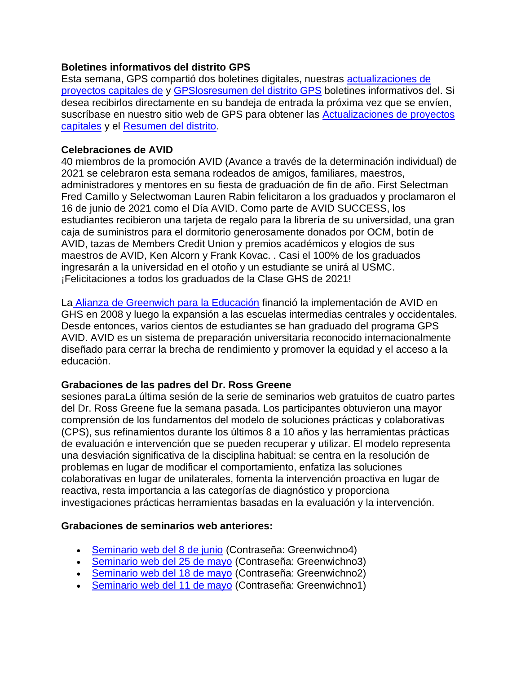# **Boletines informativos del distrito GPS**

Esta semana, GPS compartió dos boletines digitales, nuestras [actualizaciones de](https://www.smore.com/9c6sy)  [proyectos capitales de](https://www.smore.com/9c6sy) y [GPSlosresumen del distrito GPS](https://www.smore.com/28j9h) boletines informativos del. Si desea recibirlos directamente en su bandeja de entrada la próxima vez que se envíen, suscríbase en nuestro sitio web de GPS para obtener las [Actualizaciones de proyectos](https://www.greenwichschools.org/departments/facilities-rentals/building-grounds-projects/gps-capital-projects-newsletter)  [capitales](https://www.greenwichschools.org/departments/facilities-rentals/building-grounds-projects/gps-capital-projects-newsletter) y el [Resumen del distrito.](https://www.greenwichschools.org/departments/communications/district-digest-newsletter)

# **Celebraciones de AVID**

40 miembros de la promoción AVID (Avance a través de la determinación individual) de 2021 se celebraron esta semana rodeados de amigos, familiares, maestros, administradores y mentores en su fiesta de graduación de fin de año. First Selectman Fred Camillo y Selectwoman Lauren Rabin felicitaron a los graduados y proclamaron el 16 de junio de 2021 como el Día AVID. Como parte de AVID SUCCESS, los estudiantes recibieron una tarjeta de regalo para la librería de su universidad, una gran caja de suministros para el dormitorio generosamente donados por OCM, botín de AVID, tazas de Members Credit Union y premios académicos y elogios de sus maestros de AVID, Ken Alcorn y Frank Kovac. . Casi el 100% de los graduados ingresarán a la universidad en el otoño y un estudiante se unirá al USMC. ¡Felicitaciones a todos los graduados de la Clase GHS de 2021!

La [Alianza de Greenwich para la Educación](https://greenwichalliance.org/avid-programs/) financió la implementación de AVID en GHS en 2008 y luego la expansión a las escuelas intermedias centrales y occidentales. Desde entonces, varios cientos de estudiantes se han graduado del programa GPS AVID. AVID es un sistema de preparación universitaria reconocido internacionalmente diseñado para cerrar la brecha de rendimiento y promover la equidad y el acceso a la educación.

# **Grabaciones de las padres del Dr. Ross Greene**

sesiones paraLa última sesión de la serie de seminarios web gratuitos de cuatro partes del Dr. Ross Greene fue la semana pasada. Los participantes obtuvieron una mayor comprensión de los fundamentos del modelo de soluciones prácticas y colaborativas (CPS), sus refinamientos durante los últimos 8 a 10 años y las herramientas prácticas de evaluación e intervención que se pueden recuperar y utilizar. El modelo representa una desviación significativa de la disciplina habitual: se centra en la resolución de problemas en lugar de modificar el comportamiento, enfatiza las soluciones colaborativas en lugar de unilaterales, fomenta la intervención proactiva en lugar de reactiva, resta importancia a las categorías de diagnóstico y proporciona investigaciones prácticas herramientas basadas en la evaluación y la intervención.

# **Grabaciones de seminarios web anteriores:**

- [Seminario web del 8 de junio](https://vimeo.com/562759131) (Contraseña: Greenwichno4)
- [Seminario web del 25 de mayo](https://vimeo.com/557649268) (Contraseña: Greenwichno3)
- [Seminario web del 18 de mayo](https://vimeo.com/552452116) (Contraseña: Greenwichno2)
- [Seminario web del 11 de mayo](https://vimeo.com/551557364) (Contraseña: Greenwichno1)